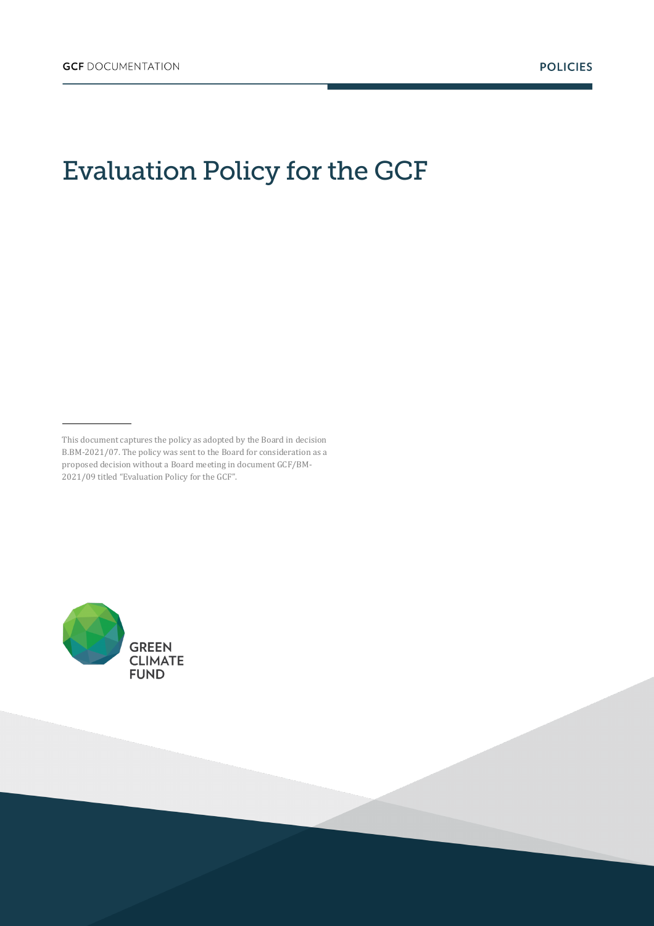# Evaluation Policy for the GCF



This document captures the policy as adopted by the Board in decision B.BM-2021/07. The policy was sent to the Board for consideration as a proposed decision without a Board meeting in document GCF/BM-2021/09 titled "Evaluation Policy for the GCF".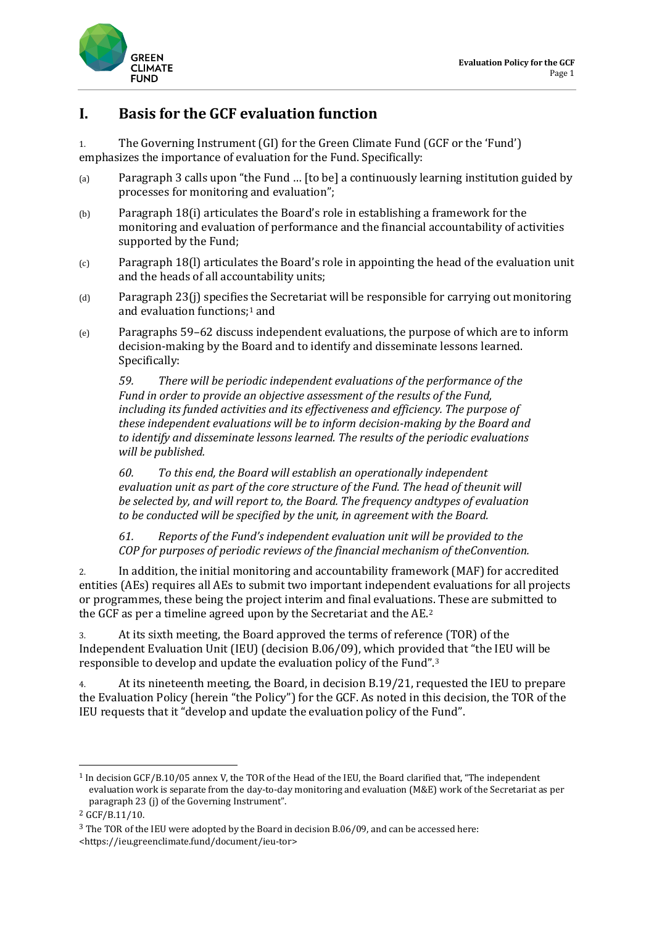

### **I. Basis for the GCF evaluation function**

1. The Governing Instrument (GI) for the Green Climate Fund (GCF or the 'Fund') emphasizes the importance of evaluation for the Fund. Specifically:

- (a) Paragraph 3 calls upon "the Fund … [to be] a continuously learning institution guided by processes for monitoring and evaluation";
- (b) Paragraph 18(i) articulates the Board's role in establishing a framework for the monitoring and evaluation of performance and the financial accountability of activities supported by the Fund;
- (c) Paragraph 18(l) articulates the Board's role in appointing the head of the evaluation unit and the heads of all accountability units;
- (d) Paragraph 23(j) specifies the Secretariat will be responsible for carrying out monitoring and evaluation functions;[1](#page-1-0) and
- (e) Paragraphs 59–62 discuss independent evaluations, the purpose of which are to inform decision-making by the Board and to identify and disseminate lessons learned. Specifically:

*59. There will be periodic independent evaluations of the performance of the Fund in order to provide an objective assessment of the results of the Fund, including its funded activities and its effectiveness and efficiency. The purpose of these independent evaluations will be to inform decision-making by the Board and to identify and disseminate lessons learned. The results of the periodic evaluations will be published.*

*60. To this end, the Board will establish an operationally independent evaluation unit as part of the core structure of the Fund. The head of theunit will be selected by, and will report to, the Board. The frequency andtypes of evaluation to be conducted will be specified by the unit, in agreement with the Board.*

*61. Reports of the Fund's independent evaluation unit will be provided to the COP for purposes of periodic reviews of the financial mechanism of theConvention.*

2. In addition, the initial monitoring and accountability framework (MAF) for accredited entities (AEs) requires all AEs to submit two important independent evaluations for all projects or programmes, these being the project interim and final evaluations. These are submitted to the GCF as per a timeline agreed upon by the Secretariat and the AE.[2](#page-1-1)

3. At its sixth meeting, the Board approved the terms of reference (TOR) of the Independent Evaluation Unit (IEU) (decision B.06/09), which provided that "the IEU will be responsible to develop and update the evaluation policy of the Fund".[3](#page-1-2)

4. At its nineteenth meeting, the Board, in decision B.19/21, requested the IEU to prepare the Evaluation Policy (herein "the Policy") for the GCF. As noted in this decision, the TOR of the IEU requests that it "develop and update the evaluation policy of the Fund".

<span id="page-1-0"></span><sup>1</sup> In decision GCF/B.10/05 annex V, the TOR of the Head of the IEU, the Board clarified that, "The independent evaluation work is separate from the day-to-day monitoring and evaluation (M&E) work of the Secretariat as per paragraph 23 (j) of the Governing Instrument".

<span id="page-1-1"></span><sup>2</sup> GCF/B.11/10.

<span id="page-1-2"></span><sup>3</sup> The TOR of the IEU were adopted by the Board in decision B.06/09, and can be accessed here: [<https://ieu.greenclimate.fund/document/ieu-tor>](https://ieu.greenclimate.fund/document/ieu-tor)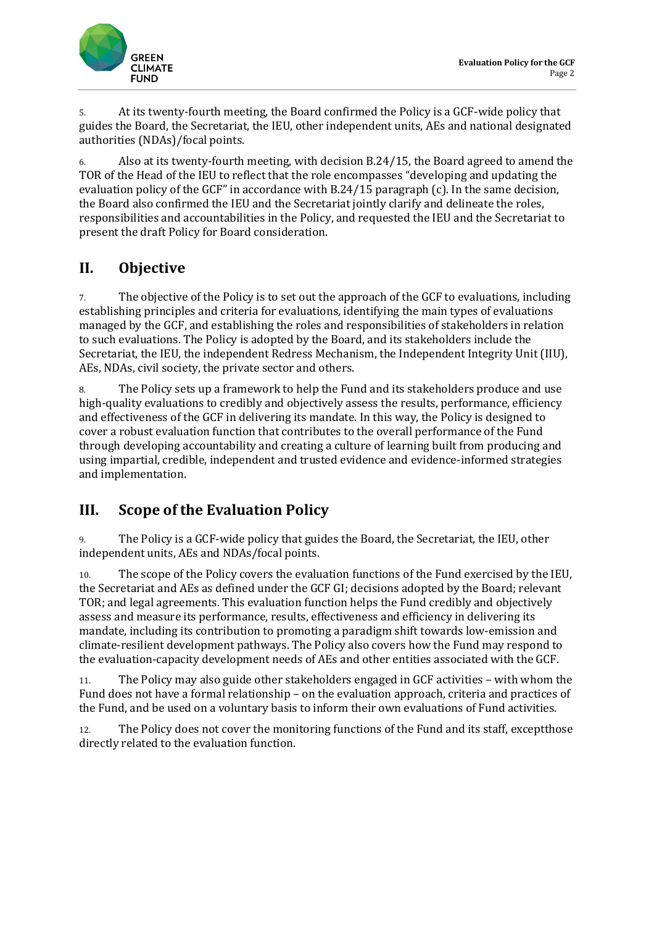

5. At its twenty-fourth meeting, the Board confirmed the Policy is a GCF-wide policy that guides the Board, the Secretariat, the IEU, other independent units, AEs and national designated authorities (NDAs)/focal points.

6. Also at its twenty-fourth meeting, with decision B.24/15, the Board agreed to amend the TOR of the Head of the IEU to reflect that the role encompasses "developing and updating the evaluation policy of the GCF" in accordance with B.24/15 paragraph (c). In the same decision, the Board also confirmed the IEU and the Secretariat jointly clarify and delineate the roles, responsibilities and accountabilities in the Policy, and requested the IEU and the Secretariat to present the draft Policy for Board consideration.

### **II. Objective**

7. The objective of the Policy is to set out the approach of the GCF to evaluations, including establishing principles and criteria for evaluations, identifying the main types of evaluations managed by the GCF, and establishing the roles and responsibilities of stakeholders in relation to such evaluations. The Policy is adopted by the Board, and its stakeholders include the Secretariat, the IEU, the independent Redress Mechanism, the Independent Integrity Unit (IIU), AEs, NDAs, civil society, the private sector and others.

8. The Policy sets up a framework to help the Fund and its stakeholders produce and use high-quality evaluations to credibly and objectively assess the results, performance, efficiency and effectiveness of the GCF in delivering its mandate. In this way, the Policy is designed to cover a robust evaluation function that contributes to the overall performance of the Fund through developing accountability and creating a culture of learning built from producing and using impartial, credible, independent and trusted evidence and evidence-informed strategies and implementation.

### **III. Scope of the Evaluation Policy**

9. The Policy is a GCF-wide policy that guides the Board, the Secretariat, the IEU, other independent units, AEs and NDAs/focal points.

10. The scope of the Policy covers the evaluation functions of the Fund exercised by the IEU, the Secretariat and AEs as defined under the GCF GI; decisions adopted by the Board; relevant TOR; and legal agreements. This evaluation function helps the Fund credibly and objectively assess and measure its performance, results, effectiveness and efficiency in delivering its mandate, including its contribution to promoting a paradigm shift towards low-emission and climate-resilient development pathways. The Policy also covers how the Fund may respond to the evaluation-capacity development needs of AEs and other entities associated with the GCF.

11. The Policy may also guide other stakeholders engaged in GCF activities – with whom the Fund does not have a formal relationship – on the evaluation approach, criteria and practices of the Fund, and be used on a voluntary basis to inform their own evaluations of Fund activities.

12. The Policy does not cover the monitoring functions of the Fund and its staff, exceptthose directly related to the evaluation function.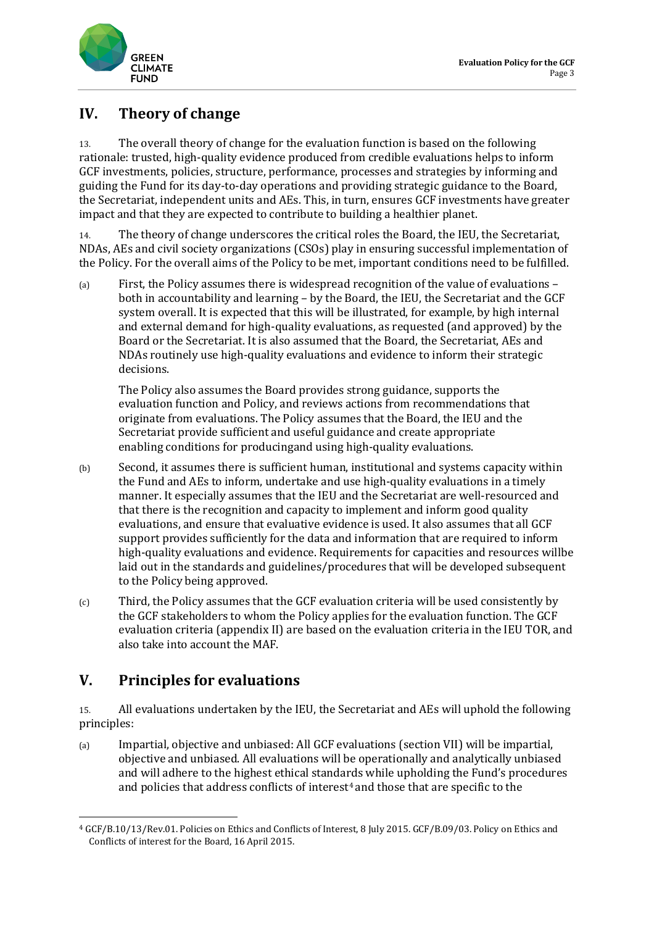

### **IV. Theory of change**

13. The overall theory of change for the evaluation function is based on the following rationale: trusted, high-quality evidence produced from credible evaluations helps to inform GCF investments, policies, structure, performance, processes and strategies by informing and guiding the Fund for its day-to-day operations and providing strategic guidance to the Board, the Secretariat, independent units and AEs. This, in turn, ensures GCF investments have greater impact and that they are expected to contribute to building a healthier planet.

14. The theory of change underscores the critical roles the Board, the IEU, the Secretariat, NDAs, AEs and civil society organizations (CSOs) play in ensuring successful implementation of the Policy. For the overall aims of the Policy to be met, important conditions need to be fulfilled.

(a) First, the Policy assumes there is widespread recognition of the value of evaluations – both in accountability and learning – by the Board, the IEU, the Secretariat and the GCF system overall. It is expected that this will be illustrated, for example, by high internal and external demand for high-quality evaluations, as requested (and approved) by the Board or the Secretariat. It is also assumed that the Board, the Secretariat, AEs and NDAs routinely use high-quality evaluations and evidence to inform their strategic decisions.

The Policy also assumes the Board provides strong guidance, supports the evaluation function and Policy, and reviews actions from recommendations that originate from evaluations. The Policy assumes that the Board, the IEU and the Secretariat provide sufficient and useful guidance and create appropriate enabling conditions for producingand using high-quality evaluations.

- (b) Second, it assumes there is sufficient human, institutional and systems capacity within the Fund and AEs to inform, undertake and use high-quality evaluations in a timely manner. It especially assumes that the IEU and the Secretariat are well-resourced and that there is the recognition and capacity to implement and inform good quality evaluations, and ensure that evaluative evidence is used. It also assumes that all GCF support provides sufficiently for the data and information that are required to inform high-quality evaluations and evidence. Requirements for capacities and resources willbe laid out in the standards and guidelines/procedures that will be developed subsequent to the Policy being approved.
- (c) Third, the Policy assumes that the GCF evaluation criteria will be used consistently by the GCF stakeholders to whom the Policy applies for the evaluation function. The GCF evaluation criteria (appendix II) are based on the evaluation criteria in the IEU TOR, and also take into account the MAF.

### **V. Principles for evaluations**

15. All evaluations undertaken by the IEU, the Secretariat and AEs will uphold the following principles:

(a) Impartial, objective and unbiased: All GCF evaluations (section VII) will be impartial, objective and unbiased. All evaluations will be operationally and analytically unbiased and will adhere to the highest ethical standards while upholding the Fund's procedures and policies that address conflicts of interest<sup>[4](#page-3-0)</sup> and those that are specific to the

<span id="page-3-0"></span><sup>4</sup> GCF/B.10/13/Rev.01. Policies on Ethics and Conflicts of Interest, 8 July 2015. GCF/B.09/03. Policy on Ethics and Conflicts of interest for the Board, 16 April 2015.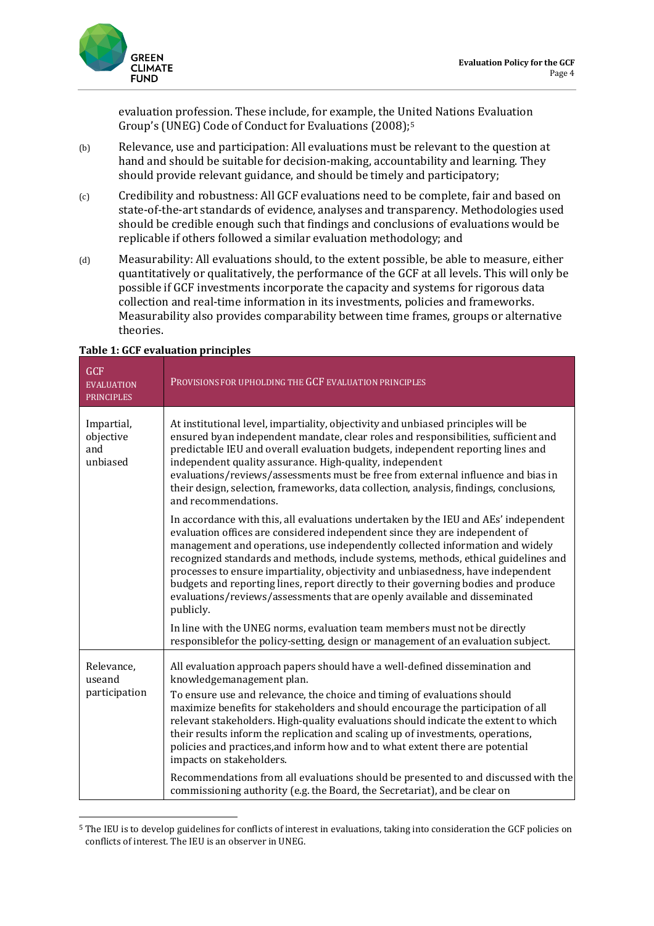

evaluation profession. These include, for example, the United Nations Evaluation Group's (UNEG) Code of Conduct for Evaluations (2008);[5](#page-4-0)

- (b) Relevance, use and participation: All evaluations must be relevant to the question at hand and should be suitable for decision-making, accountability and learning. They should provide relevant guidance, and should be timely and participatory;
- (c) Credibility and robustness: All GCF evaluations need to be complete, fair and based on state-of-the-art standards of evidence, analyses and transparency. Methodologies used should be credible enough such that findings and conclusions of evaluations would be replicable if others followed a similar evaluation methodology; and
- (d) Measurability: All evaluations should, to the extent possible, be able to measure, either quantitatively or qualitatively, the performance of the GCF at all levels. This will only be possible if GCF investments incorporate the capacity and systems for rigorous data collection and real-time information in its investments, policies and frameworks. Measurability also provides comparability between time frames, groups or alternative theories.

| <b>GCF</b><br><b>EVALUATION</b><br><b>PRINCIPLES</b> | PROVISIONS FOR UPHOLDING THE GCF EVALUATION PRINCIPLES                                                                                                                                                                                                                                                                                                                                                                                                                                                                                                                                                                                                |
|------------------------------------------------------|-------------------------------------------------------------------------------------------------------------------------------------------------------------------------------------------------------------------------------------------------------------------------------------------------------------------------------------------------------------------------------------------------------------------------------------------------------------------------------------------------------------------------------------------------------------------------------------------------------------------------------------------------------|
| Impartial,<br>objective<br>and<br>unbiased           | At institutional level, impartiality, objectivity and unbiased principles will be<br>ensured byan independent mandate, clear roles and responsibilities, sufficient and<br>predictable IEU and overall evaluation budgets, independent reporting lines and<br>independent quality assurance. High-quality, independent<br>evaluations/reviews/assessments must be free from external influence and bias in<br>their design, selection, frameworks, data collection, analysis, findings, conclusions,<br>and recommendations.                                                                                                                          |
|                                                      | In accordance with this, all evaluations undertaken by the IEU and AEs' independent<br>evaluation offices are considered independent since they are independent of<br>management and operations, use independently collected information and widely<br>recognized standards and methods, include systems, methods, ethical guidelines and<br>processes to ensure impartiality, objectivity and unbiasedness, have independent<br>budgets and reporting lines, report directly to their governing bodies and produce<br>evaluations/reviews/assessments that are openly available and disseminated<br>publicly.                                        |
|                                                      | In line with the UNEG norms, evaluation team members must not be directly<br>responsible for the policy-setting, design or management of an evaluation subject.                                                                                                                                                                                                                                                                                                                                                                                                                                                                                       |
| Relevance,<br>useand<br>participation                | All evaluation approach papers should have a well-defined dissemination and<br>knowledgemanagement plan.<br>To ensure use and relevance, the choice and timing of evaluations should<br>maximize benefits for stakeholders and should encourage the participation of all<br>relevant stakeholders. High-quality evaluations should indicate the extent to which<br>their results inform the replication and scaling up of investments, operations,<br>policies and practices, and inform how and to what extent there are potential<br>impacts on stakeholders.<br>Recommendations from all evaluations should be presented to and discussed with the |
|                                                      | commissioning authority (e.g. the Board, the Secretariat), and be clear on                                                                                                                                                                                                                                                                                                                                                                                                                                                                                                                                                                            |

#### **Table 1: GCF evaluation principles**

<span id="page-4-0"></span><sup>5</sup> The IEU is to develop guidelines for conflicts of interest in evaluations, taking into consideration the GCF policies on conflicts of interest. The IEU is an observer in UNEG.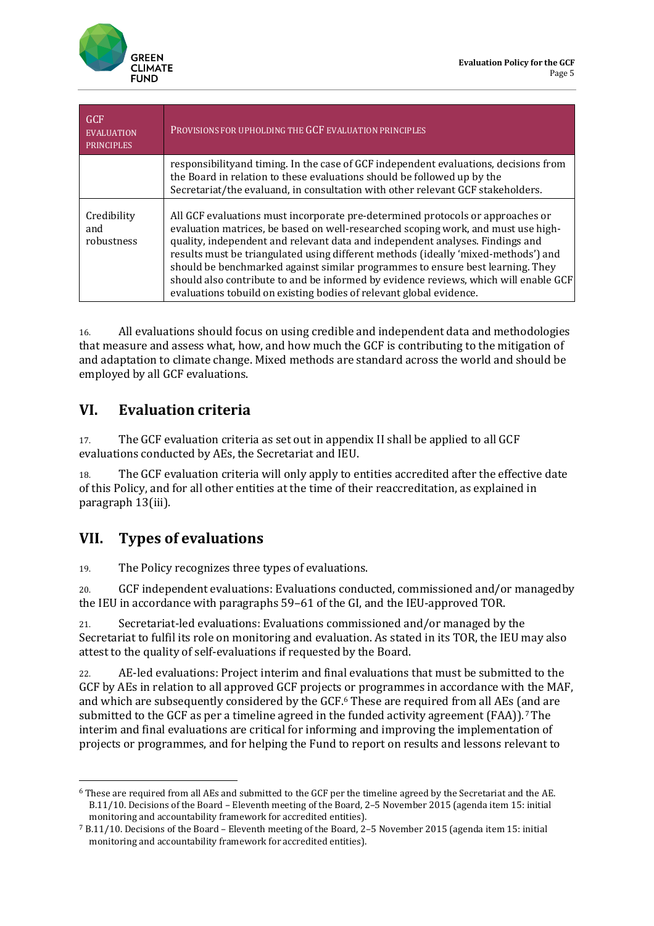

| GCF<br><b>EVALUATION</b><br><b>PRINCIPLES</b> | PROVISIONS FOR UPHOLDING THE GCF EVALUATION PRINCIPLES                                                                                                                                                                                                                                                                                                                                                                                                                                                                                                                                      |
|-----------------------------------------------|---------------------------------------------------------------------------------------------------------------------------------------------------------------------------------------------------------------------------------------------------------------------------------------------------------------------------------------------------------------------------------------------------------------------------------------------------------------------------------------------------------------------------------------------------------------------------------------------|
|                                               | responsibility and timing. In the case of GCF independent evaluations, decisions from<br>the Board in relation to these evaluations should be followed up by the<br>Secretariat/the evaluand, in consultation with other relevant GCF stakeholders.                                                                                                                                                                                                                                                                                                                                         |
| Credibility<br>and<br>robustness              | All GCF evaluations must incorporate pre-determined protocols or approaches or<br>evaluation matrices, be based on well-researched scoping work, and must use high-<br>quality, independent and relevant data and independent analyses. Findings and<br>results must be triangulated using different methods (ideally 'mixed-methods') and<br>should be benchmarked against similar programmes to ensure best learning. They<br>should also contribute to and be informed by evidence reviews, which will enable GCF<br>evaluations tobuild on existing bodies of relevant global evidence. |

16. All evaluations should focus on using credible and independent data and methodologies that measure and assess what, how, and how much the GCF is contributing to the mitigation of and adaptation to climate change. Mixed methods are standard across the world and should be employed by all GCF evaluations.

### **VI. Evaluation criteria**

17. The GCF evaluation criteria as set out in appendix II shall be applied to all GCF evaluations conducted by AEs, the Secretariat and IEU.

18. The GCF evaluation criteria will only apply to entities accredited after the effective date of this Policy, and for all other entities at the time of their reaccreditation, as explained in paragraph 13(iii).

### **VII. Types of evaluations**

19. The Policy recognizes three types of evaluations.

20. GCF independent evaluations: Evaluations conducted, commissioned and/or managedby the IEU in accordance with paragraphs 59–61 of the GI, and the IEU-approved TOR.

21. Secretariat-led evaluations: Evaluations commissioned and/or managed by the Secretariat to fulfil its role on monitoring and evaluation. As stated in its TOR, the IEU may also attest to the quality of self-evaluations if requested by the Board.

22. AE-led evaluations: Project interim and final evaluations that must be submitted to the GCF by AEs in relation to all approved GCF projects or programmes in accordance with the MAF, and which are subsequently considered by the GCF.[6](#page-5-0) These are required from all AEs (and are submitted to the GCF as per a timeline agreed in the funded activity agreement (FAA)).<sup>[7](#page-5-1)</sup>[T](#page-7-0)he interim and final evaluations are critical for informing and improving the implementation of projects or programmes, and for helping the Fund to report on results and lessons relevant to

<span id="page-5-0"></span><sup>6</sup> These are required from all AEs and submitted to the GCF per the timeline agreed by the Secretariat and the AE. B.11/10. Decisions of the Board – Eleventh meeting of the Board, 2–5 November 2015 (agenda item 15: initial monitoring and accountability framework for accredited entities).

<span id="page-5-1"></span><sup>7</sup> B.11/10. Decisions of the Board – Eleventh meeting of the Board, 2–5 November 2015 (agenda item 15: initial monitoring and accountability framework for accredited entities).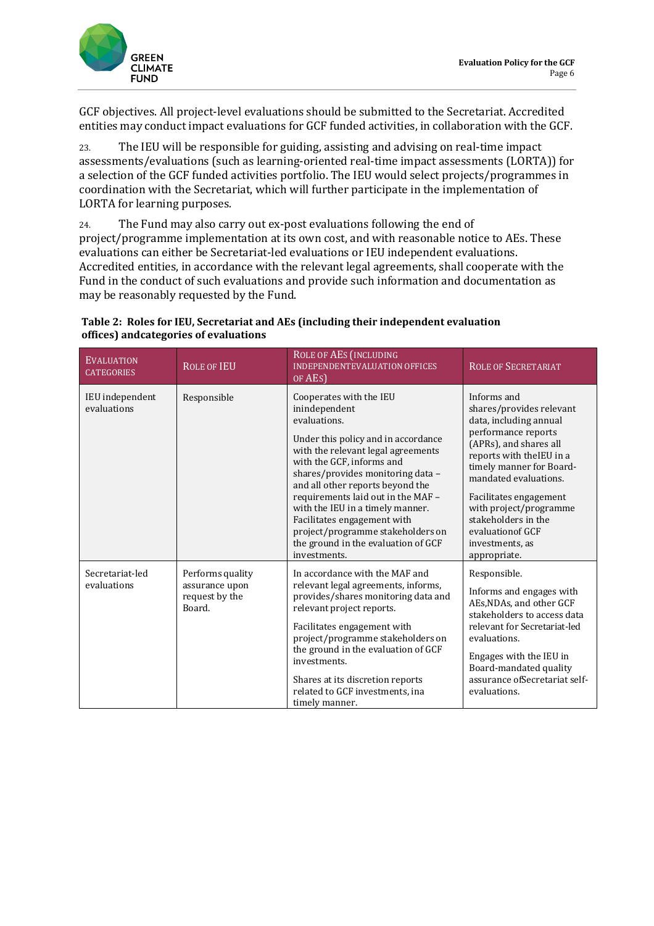

GCF objectives. All project-level evaluations should be submitted to the Secretariat. Accredited entities may conduct impact evaluations for GCF funded activities, in collaboration with the GCF.

23. The IEU will be responsible for guiding, assisting and advising on real-time impact assessments/evaluations (such as learning-oriented real-time impact assessments (LORTA)) for a selection of the GCF funded activities portfolio. The IEU would select projects/programmes in coordination with the Secretariat, which will further participate in the implementation of LORTA for learning purposes*.*

24. The Fund may also carry out ex-post evaluations following the end of project/programme implementation at its own cost, and with reasonable notice to AEs. These evaluations can either be Secretariat-led evaluations or IEU independent evaluations. Accredited entities, in accordance with the relevant legal agreements, shall cooperate with the Fund in the conduct of such evaluations and provide such information and documentation as may be reasonably requested by the Fund.

| <b>EVALUATION</b><br><b>CATEGORIES</b> | <b>ROLE OF IEU</b>                                             | <b>ROLE OF AES (INCLUDING</b><br><b>INDEPENDENTEVALUATION OFFICES</b><br>OF AES)                                                                                                                                                                                                                                                                                                                                                                 | <b>ROLE OF SECRETARIAT</b>                                                                                                                                                                                                                                                                                                              |
|----------------------------------------|----------------------------------------------------------------|--------------------------------------------------------------------------------------------------------------------------------------------------------------------------------------------------------------------------------------------------------------------------------------------------------------------------------------------------------------------------------------------------------------------------------------------------|-----------------------------------------------------------------------------------------------------------------------------------------------------------------------------------------------------------------------------------------------------------------------------------------------------------------------------------------|
| IEU independent<br>evaluations         | Responsible                                                    | Cooperates with the IEU<br>inindependent<br>evaluations.<br>Under this policy and in accordance<br>with the relevant legal agreements<br>with the GCF, informs and<br>shares/provides monitoring data -<br>and all other reports beyond the<br>requirements laid out in the MAF -<br>with the IEU in a timely manner.<br>Facilitates engagement with<br>project/programme stakeholders on<br>the ground in the evaluation of GCF<br>investments. | Informs and<br>shares/provides relevant<br>data, including annual<br>performance reports<br>(APRs), and shares all<br>reports with the IEU in a<br>timely manner for Board-<br>mandated evaluations.<br>Facilitates engagement<br>with project/programme<br>stakeholders in the<br>evaluation of GCF<br>investments, as<br>appropriate. |
| Secretariat-led<br>evaluations         | Performs quality<br>assurance upon<br>request by the<br>Board. | In accordance with the MAF and<br>relevant legal agreements, informs,<br>provides/shares monitoring data and<br>relevant project reports.<br>Facilitates engagement with<br>project/programme stakeholders on<br>the ground in the evaluation of GCF<br>investments.<br>Shares at its discretion reports<br>related to GCF investments, ina<br>timely manner.                                                                                    | Responsible.<br>Informs and engages with<br>AEs, NDAs, and other GCF<br>stakeholders to access data<br>relevant for Secretariat-led<br>evaluations.<br>Engages with the IEU in<br>Board-mandated quality<br>assurance ofSecretariat self-<br>evaluations.                                                                               |

#### **Table 2: Roles for IEU, Secretariat and AEs (including their independent evaluation offices) andcategories of evaluations**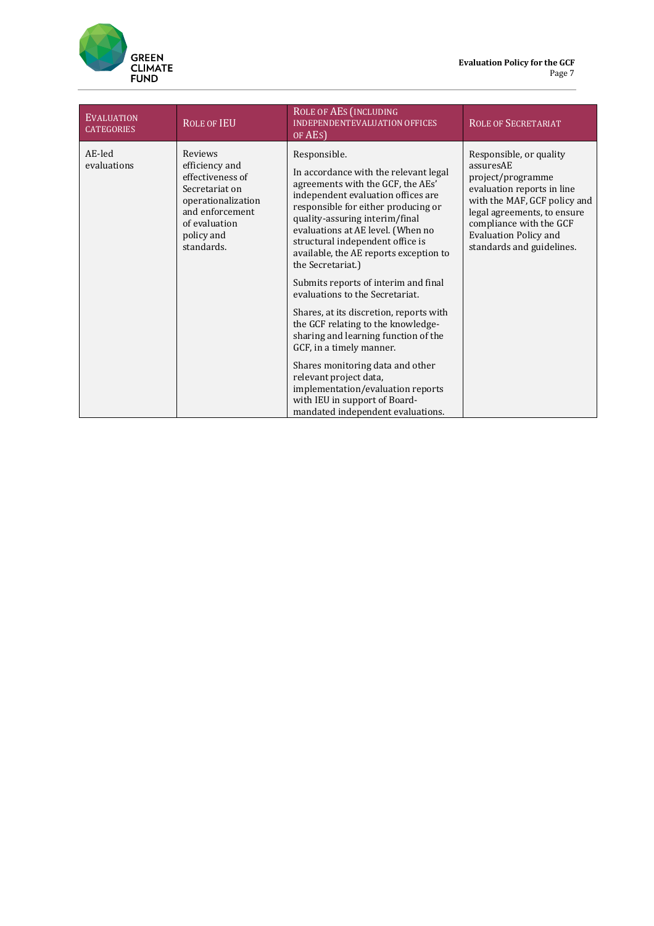

<span id="page-7-0"></span>

| <b>EVALUATION</b><br><b>CATEGORIES</b> | <b>ROLE OF IEU</b>                                                                                                                                    | <b>ROLE OF AES (INCLUDING</b><br><b>INDEPENDENTEVALUATION OFFICES</b><br>OF AES)                                                                                                                                                                                                                                                                                                                                             | <b>ROLE OF SECRETARIAT</b>                                                                                                                                                                                                                     |
|----------------------------------------|-------------------------------------------------------------------------------------------------------------------------------------------------------|------------------------------------------------------------------------------------------------------------------------------------------------------------------------------------------------------------------------------------------------------------------------------------------------------------------------------------------------------------------------------------------------------------------------------|------------------------------------------------------------------------------------------------------------------------------------------------------------------------------------------------------------------------------------------------|
| AE-led<br>evaluations                  | Reviews<br>efficiency and<br>effectiveness of<br>Secretariat on<br>operationalization<br>and enforcement<br>of evaluation<br>policy and<br>standards. | Responsible.<br>In accordance with the relevant legal<br>agreements with the GCF, the AEs'<br>independent evaluation offices are<br>responsible for either producing or<br>quality-assuring interim/final<br>evaluations at AE level. (When no<br>structural independent office is<br>available, the AE reports exception to<br>the Secretariat.)<br>Submits reports of interim and final<br>evaluations to the Secretariat. | Responsible, or quality<br>assuresAE<br>project/programme<br>evaluation reports in line<br>with the MAF, GCF policy and<br>legal agreements, to ensure<br>compliance with the GCF<br><b>Evaluation Policy and</b><br>standards and guidelines. |
|                                        |                                                                                                                                                       | Shares, at its discretion, reports with<br>the GCF relating to the knowledge-<br>sharing and learning function of the<br>GCF, in a timely manner.                                                                                                                                                                                                                                                                            |                                                                                                                                                                                                                                                |
|                                        |                                                                                                                                                       | Shares monitoring data and other<br>relevant project data,<br>implementation/evaluation reports<br>with IEU in support of Board-<br>mandated independent evaluations.                                                                                                                                                                                                                                                        |                                                                                                                                                                                                                                                |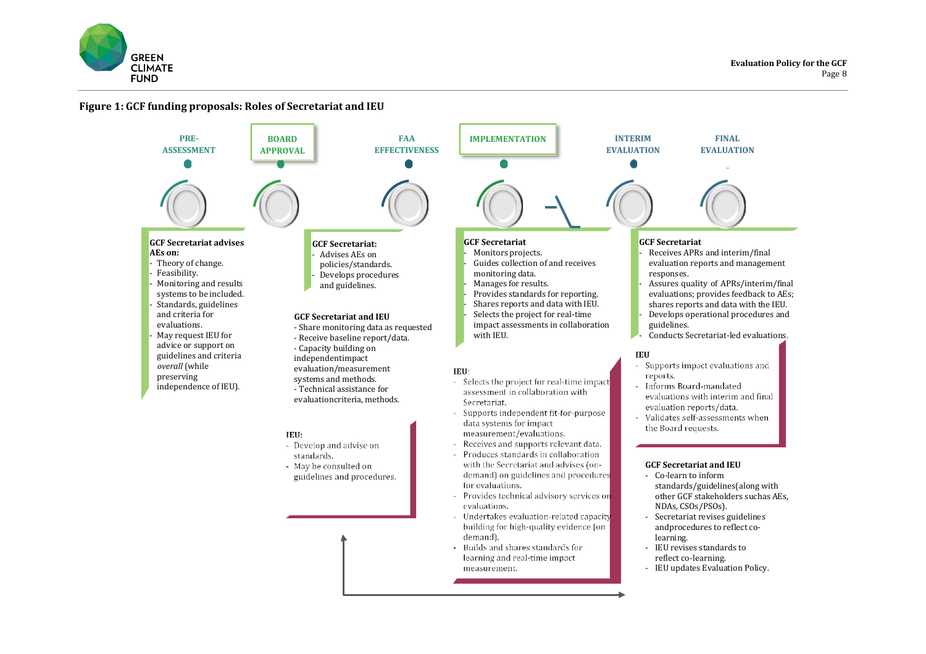

#### **Figure 1: GCF funding proposals: Roles of Secretariat and IEU**

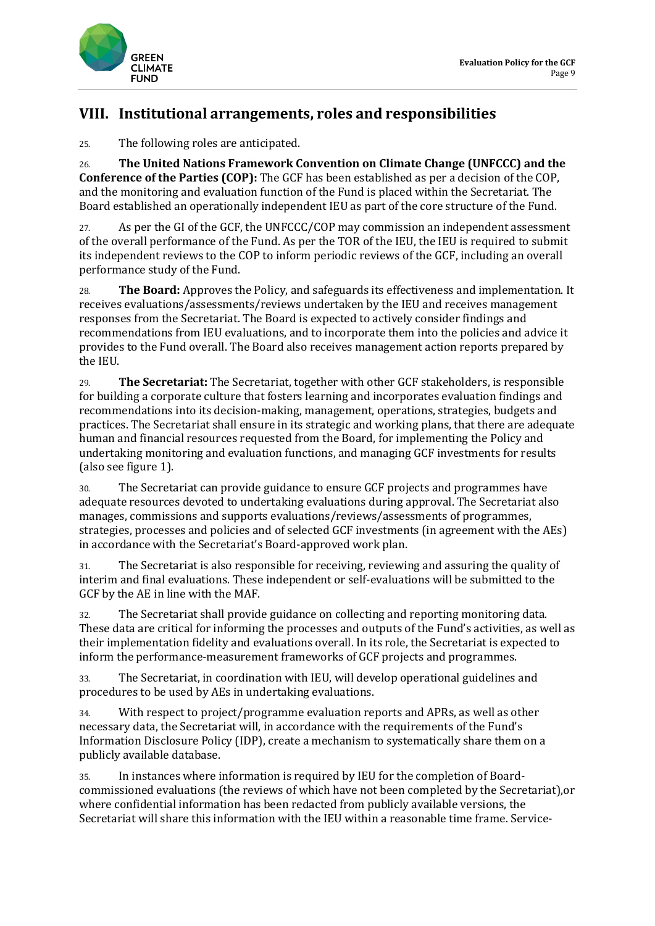



### **VIII. Institutional arrangements, roles and responsibilities**

25. The following roles are anticipated.

26. **The United Nations Framework Convention on Climate Change (UNFCCC) and the Conference of the Parties (COP):** The GCF has been established as per a decision of the COP, and the monitoring and evaluation function of the Fund is placed within the Secretariat. The Board established an operationally independent IEU as part of the core structure of the Fund.

27. As per the GI of the GCF, the UNFCCC/COP may commission an independent assessment of the overall performance of the Fund. As per the TOR of the IEU, the IEU is required to submit its independent reviews to the COP to inform periodic reviews of the GCF, including an overall performance study of the Fund.

28. **The Board:** Approves the Policy, and safeguards its effectiveness and implementation. It receives evaluations/assessments/reviews undertaken by the IEU and receives management responses from the Secretariat. The Board is expected to actively consider findings and recommendations from IEU evaluations, and to incorporate them into the policies and advice it provides to the Fund overall. The Board also receives management action reports prepared by the IEU.

29. **The Secretariat:** The Secretariat, together with other GCF stakeholders, is responsible for building a corporate culture that fosters learning and incorporates evaluation findings and recommendations into its decision-making, management, operations, strategies, budgets and practices. The Secretariat shall ensure in its strategic and working plans, that there are adequate human and financial resources requested from the Board, for implementing the Policy and undertaking monitoring and evaluation functions, and managing GCF investments for results (also see figure 1).

30. The Secretariat can provide guidance to ensure GCF projects and programmes have adequate resources devoted to undertaking evaluations during approval. The Secretariat also manages, commissions and supports evaluations/reviews/assessments of programmes, strategies, processes and policies and of selected GCF investments (in agreement with the AEs) in accordance with the Secretariat's Board-approved work plan.

31. The Secretariat is also responsible for receiving, reviewing and assuring the quality of interim and final evaluations. These independent or self-evaluations will be submitted to the GCF by the AE in line with the MAF.

32. The Secretariat shall provide guidance on collecting and reporting monitoring data. These data are critical for informing the processes and outputs of the Fund's activities, as well as their implementation fidelity and evaluations overall. In its role, the Secretariat is expected to inform the performance-measurement frameworks of GCF projects and programmes.

33. The Secretariat, in coordination with IEU, will develop operational guidelines and procedures to be used by AEs in undertaking evaluations.

34. With respect to project/programme evaluation reports and APRs, as well as other necessary data, the Secretariat will, in accordance with the requirements of the Fund's Information Disclosure Policy (IDP), create a mechanism to systematically share them on a publicly available database.

35. In instances where information is required by IEU for the completion of Boardcommissioned evaluations (the reviews of which have not been completed by the Secretariat),or where confidential information has been redacted from publicly available versions, the Secretariat will share this information with the IEU within a reasonable time frame. Service-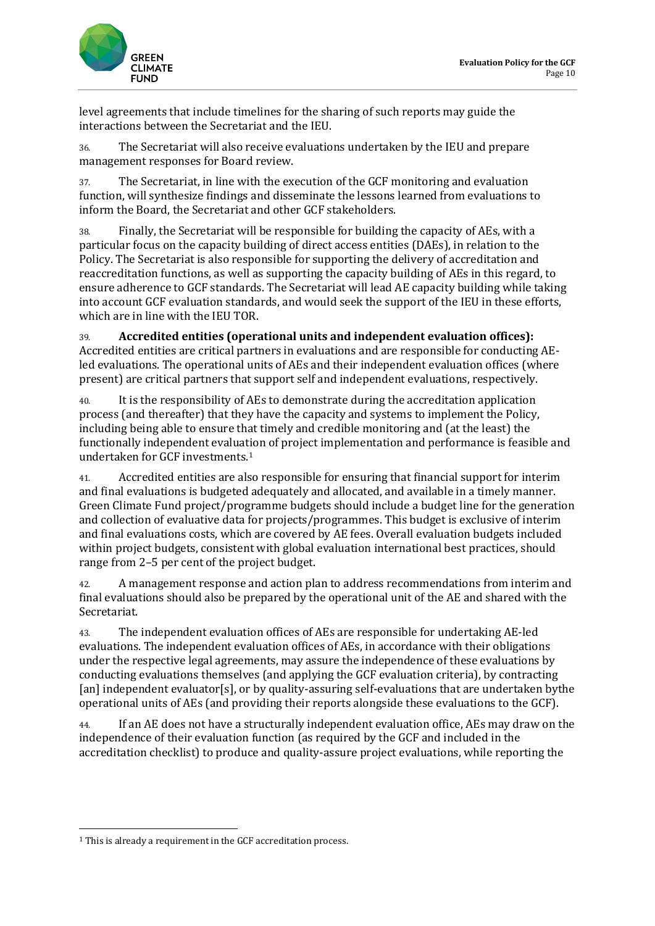

level agreements that include timelines for the sharing of such reports may guide the interactions between the Secretariat and the IEU.

36. The Secretariat will also receive evaluations undertaken by the IEU and prepare management responses for Board review.

37. The Secretariat, in line with the execution of the GCF monitoring and evaluation function, will synthesize findings and disseminate the lessons learned from evaluations to inform the Board, the Secretariat and other GCF stakeholders.

38. Finally, the Secretariat will be responsible for building the capacity of AEs, with a particular focus on the capacity building of direct access entities (DAEs), in relation to the Policy. The Secretariat is also responsible for supporting the delivery of accreditation and reaccreditation functions, as well as supporting the capacity building of AEs in this regard, to ensure adherence to GCF standards. The Secretariat will lead AE capacity building while taking into account GCF evaluation standards, and would seek the support of the IEU in these efforts, which are in line with the IEU TOR.

39. **Accredited entities (operational units and independent evaluation offices):** Accredited entities are critical partners in evaluations and are responsible for conducting AEled evaluations. The operational units of AEs and their independent evaluation offices (where present) are critical partners that support self and independent evaluations, respectively.

40. It is the responsibility of AEs to demonstrate during the accreditation application process (and thereafter) that they have the capacity and systems to implement the Policy, including being able to ensure that timely and credible monitoring and (at the least) the functionally independent evaluation of project implementation and performance is feasible and undertaken for GCF investments.[1](#page-10-0)

41. Accredited entities are also responsible for ensuring that financial support for interim and final evaluations is budgeted adequately and allocated, and available in a timely manner. Green Climate Fund project/programme budgets should include a budget line for the generation and collection of evaluative data for projects/programmes. This budget is exclusive of interim and final evaluations costs, which are covered by AE fees. Overall evaluation budgets included within project budgets, consistent with global evaluation international best practices, should range from 2–5 per cent of the project budget.

42. A management response and action plan to address recommendations from interim and final evaluations should also be prepared by the operational unit of the AE and shared with the Secretariat.

43. The independent evaluation offices of AEs are responsible for undertaking AE-led evaluations. The independent evaluation offices of AEs, in accordance with their obligations under the respective legal agreements, may assure the independence of these evaluations by conducting evaluations themselves (and applying the GCF evaluation criteria), by contracting [an] independent evaluator[s], or by quality-assuring self-evaluations that are undertaken bythe operational units of AEs (and providing their reports alongside these evaluations to the GCF).

44. If an AE does not have a structurally independent evaluation office, AEs may draw on the independence of their evaluation function (as required by the GCF and included in the accreditation checklist) to produce and quality-assure project evaluations, while reporting the

<span id="page-10-0"></span><sup>1</sup> This is already a requirement in the GCF accreditation process.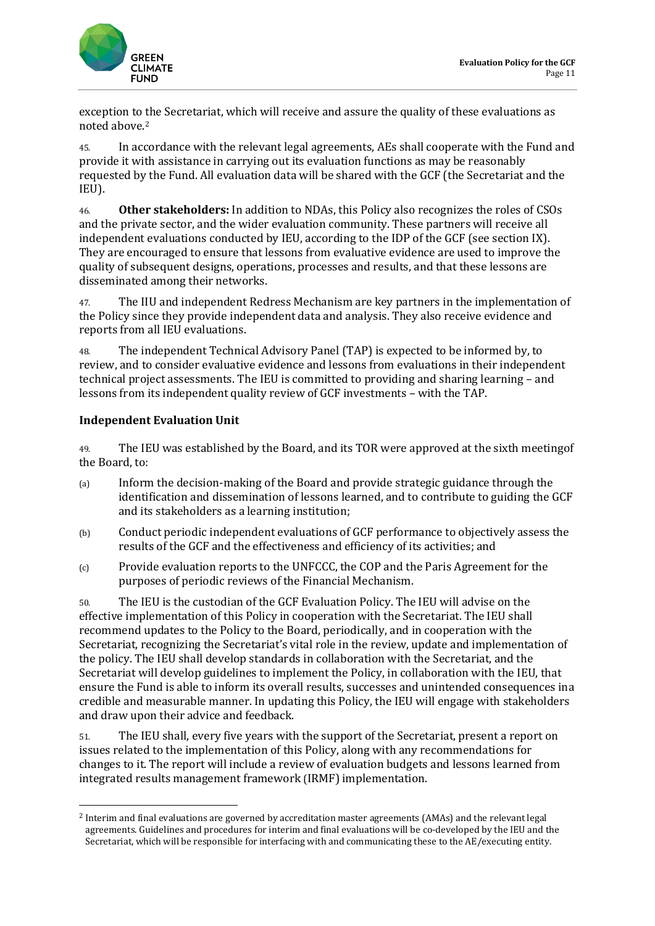

exception to the Secretariat, which will receive and assure the quality of these evaluations as noted above.[2](#page-11-0)

45. In accordance with the relevant legal agreements, AEs shall cooperate with the Fund and provide it with assistance in carrying out its evaluation functions as may be reasonably requested by the Fund. All evaluation data will be shared with the GCF (the Secretariat and the IEU).

46. **Other stakeholders:** In addition to NDAs, this Policy also recognizes the roles of CSOs and the private sector, and the wider evaluation community. These partners will receive all independent evaluations conducted by IEU, according to the IDP of the GCF (see section IX). They are encouraged to ensure that lessons from evaluative evidence are used to improve the quality of subsequent designs, operations, processes and results, and that these lessons are disseminated among their networks.

47. The IIU and independent Redress Mechanism are key partners in the implementation of the Policy since they provide independent data and analysis. They also receive evidence and reports from all IEU evaluations.

48. The independent Technical Advisory Panel (TAP) is expected to be informed by, to review, and to consider evaluative evidence and lessons from evaluations in their independent technical project assessments. The IEU is committed to providing and sharing learning – and lessons from its independent quality review of GCF investments – with the TAP.

#### **Independent Evaluation Unit**

49. The IEU was established by the Board, and its TOR were approved at the sixth meetingof the Board, to:

- (a) Inform the decision-making of the Board and provide strategic guidance through the identification and dissemination of lessons learned, and to contribute to guiding the GCF and its stakeholders as a learning institution;
- (b) Conduct periodic independent evaluations of GCF performance to objectively assess the results of the GCF and the effectiveness and efficiency of its activities; and
- (c) Provide evaluation reports to the UNFCCC, the COP and the Paris Agreement for the purposes of periodic reviews of the Financial Mechanism.

50. The IEU is the custodian of the GCF Evaluation Policy. The IEU will advise on the effective implementation of this Policy in cooperation with the Secretariat. The IEU shall recommend updates to the Policy to the Board, periodically, and in cooperation with the Secretariat, recognizing the Secretariat's vital role in the review, update and implementation of the policy. The IEU shall develop standards in collaboration with the Secretariat, and the Secretariat will develop guidelines to implement the Policy, in collaboration with the IEU, that ensure the Fund is able to inform its overall results, successes and unintended consequences ina credible and measurable manner. In updating this Policy, the IEU will engage with stakeholders and draw upon their advice and feedback.

51. The IEU shall, every five years with the support of the Secretariat, present a report on issues related to the implementation of this Policy, along with any recommendations for changes to it. The report will include a review of evaluation budgets and lessons learned from integrated results management framework (IRMF) implementation.

<span id="page-11-0"></span><sup>2</sup> Interim and final evaluations are governed by accreditation master agreements (AMAs) and the relevant legal agreements. Guidelines and procedures for interim and final evaluations will be co-developed by the IEU and the Secretariat, which will be responsible for interfacing with and communicating these to the AE/executing entity.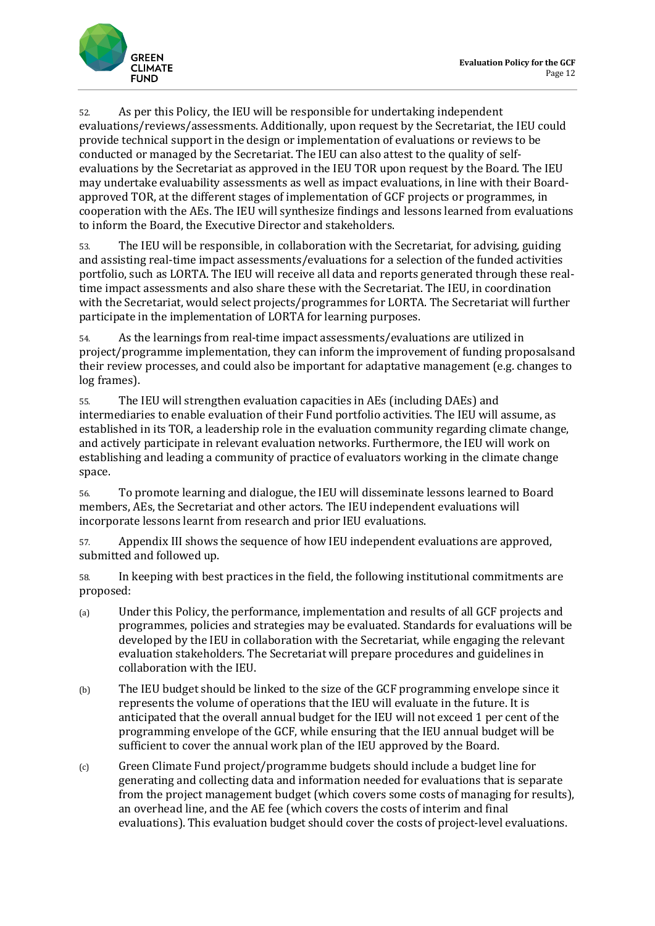

52. As per this Policy, the IEU will be responsible for undertaking independent evaluations/reviews/assessments. Additionally, upon request by the Secretariat, the IEU could provide technical support in the design or implementation of evaluations or reviews to be conducted or managed by the Secretariat. The IEU can also attest to the quality of selfevaluations by the Secretariat as approved in the IEU TOR upon request by the Board. The IEU may undertake evaluability assessments as well as impact evaluations, in line with their Boardapproved TOR, at the different stages of implementation of GCF projects or programmes, in cooperation with the AEs. The IEU will synthesize findings and lessons learned from evaluations to inform the Board, the Executive Director and stakeholders.

53. The IEU will be responsible, in collaboration with the Secretariat, for advising, guiding and assisting real-time impact assessments/evaluations for a selection of the funded activities portfolio, such as LORTA. The IEU will receive all data and reports generated through these realtime impact assessments and also share these with the Secretariat. The IEU, in coordination with the Secretariat, would select projects/programmes for LORTA. The Secretariat will further participate in the implementation of LORTA for learning purposes.

54. As the learnings from real-time impact assessments/evaluations are utilized in project/programme implementation, they can inform the improvement of funding proposalsand their review processes, and could also be important for adaptative management (e.g. changes to log frames).

55. The IEU will strengthen evaluation capacities in AEs (including DAEs) and intermediaries to enable evaluation of their Fund portfolio activities. The IEU will assume, as established in its TOR, a leadership role in the evaluation community regarding climate change, and actively participate in relevant evaluation networks. Furthermore, the IEU will work on establishing and leading a community of practice of evaluators working in the climate change space.

56. To promote learning and dialogue, the IEU will disseminate lessons learned to Board members, AEs, the Secretariat and other actors. The IEU independent evaluations will incorporate lessons learnt from research and prior IEU evaluations.

57. Appendix III shows the sequence of how IEU independent evaluations are approved, submitted and followed up.

58. In keeping with best practices in the field, the following institutional commitments are proposed:

- (a) Under this Policy, the performance, implementation and results of all GCF projects and programmes, policies and strategies may be evaluated. Standards for evaluations will be developed by the IEU in collaboration with the Secretariat, while engaging the relevant evaluation stakeholders. The Secretariat will prepare procedures and guidelines in collaboration with the IEU.
- (b) The IEU budget should be linked to the size of the GCF programming envelope since it represents the volume of operations that the IEU will evaluate in the future. It is anticipated that the overall annual budget for the IEU will not exceed 1 per cent of the programming envelope of the GCF, while ensuring that the IEU annual budget will be sufficient to cover the annual work plan of the IEU approved by the Board.
- (c) Green Climate Fund project/programme budgets should include a budget line for generating and collecting data and information needed for evaluations that is separate from the project management budget (which covers some costs of managing for results), an overhead line, and the AE fee (which covers the costs of interim and final evaluations). This evaluation budget should cover the costs of project-level evaluations.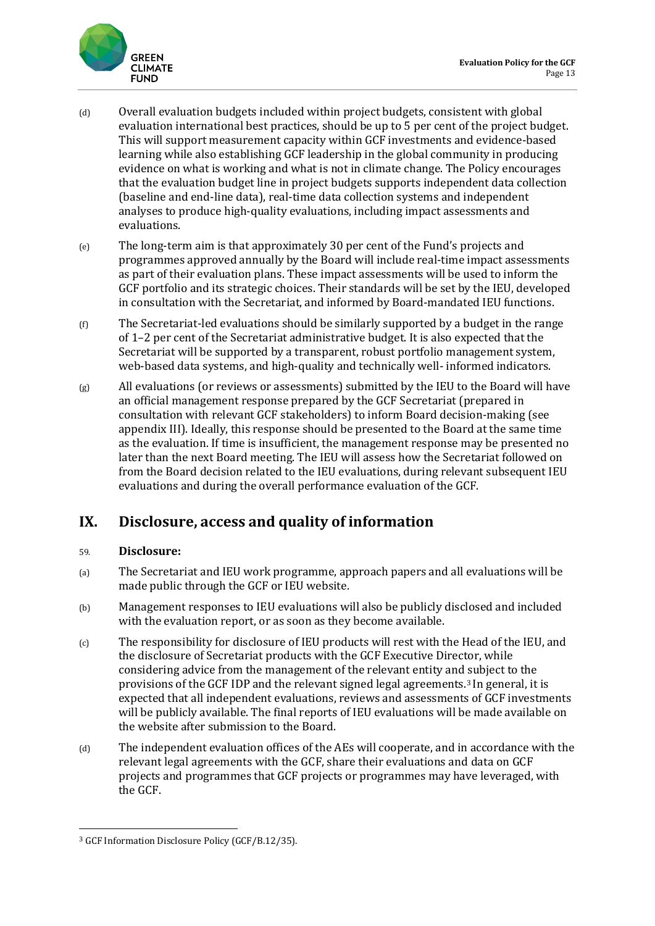

- (d) Overall evaluation budgets included within project budgets, consistent with global evaluation international best practices, should be up to 5 per cent of the project budget. This will support measurement capacity within GCF investments and evidence-based learning while also establishing GCF leadership in the global community in producing evidence on what is working and what is not in climate change. The Policy encourages that the evaluation budget line in project budgets supports independent data collection (baseline and end-line data), real-time data collection systems and independent analyses to produce high-quality evaluations, including impact assessments and evaluations.
- (e) The long-term aim is that approximately 30 per cent of the Fund's projects and programmes approved annually by the Board will include real-time impact assessments as part of their evaluation plans. These impact assessments will be used to inform the GCF portfolio and its strategic choices. Their standards will be set by the IEU, developed in consultation with the Secretariat, and informed by Board-mandated IEU functions.
- $(f)$  The Secretariat-led evaluations should be similarly supported by a budget in the range of 1–2 per cent of the Secretariat administrative budget. It is also expected that the Secretariat will be supported by a transparent, robust portfolio management system, web-based data systems, and high-quality and technically well- informed indicators.
- (g) All evaluations (or reviews or assessments) submitted by the IEU to the Board will have an official management response prepared by the GCF Secretariat (prepared in consultation with relevant GCF stakeholders) to inform Board decision-making (see appendix III). Ideally, this response should be presented to the Board at the same time as the evaluation. If time is insufficient, the management response may be presented no later than the next Board meeting. The IEU will assess how the Secretariat followed on from the Board decision related to the IEU evaluations, during relevant subsequent IEU evaluations and during the overall performance evaluation of the GCF.

### **IX. Disclosure, access and quality of information**

#### 59. **Disclosure:**

- (a) The Secretariat and IEU work programme, approach papers and all evaluations will be made public through the GCF or IEU website.
- (b) Management responses to IEU evaluations will also be publicly disclosed and included with the evaluation report, or as soon as they become available.
- (c) The responsibility for disclosure of IEU products will rest with the Head of the IEU, and the disclosure of Secretariat products with the GCF Executive Director, while considering advice from the management of the relevant entity and subject to the provisions of the GCF IDP and the relevant signed legal agreements.[3](#page-13-0) In general, it is expected that all independent evaluations, reviews and assessments of GCF investments will be publicly available. The final reports of IEU evaluations will be made available on the website after submission to the Board.
- (d) The independent evaluation offices of the AEs will cooperate, and in accordance with the relevant legal agreements with the GCF, share their evaluations and data on GCF projects and programmes that GCF projects or programmes may have leveraged, with the GCF.

<span id="page-13-0"></span><sup>3</sup> GCF Information Disclosure Policy (GCF/B.12/35).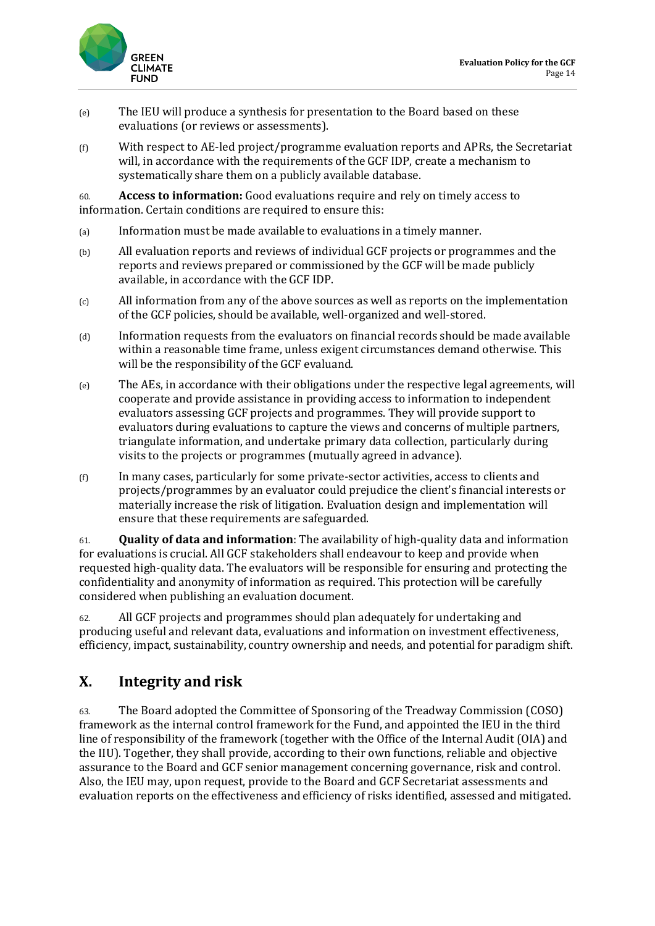

- (e) The IEU will produce a synthesis for presentation to the Board based on these evaluations (or reviews or assessments).
- (f) With respect to AE-led project/programme evaluation reports and APRs, the Secretariat will, in accordance with the requirements of the GCF IDP, create a mechanism to systematically share them on a publicly available database.

60. **Access to information:** Good evaluations require and rely on timely access to information. Certain conditions are required to ensure this:

- (a) Information must be made available to evaluations in a timely manner.
- (b) All evaluation reports and reviews of individual GCF projects or programmes and the reports and reviews prepared or commissioned by the GCF will be made publicly available, in accordance with the GCF IDP.
- (c) All information from any of the above sources as well as reports on the implementation of the GCF policies, should be available, well-organized and well-stored.
- (d) Information requests from the evaluators on financial records should be made available within a reasonable time frame, unless exigent circumstances demand otherwise. This will be the responsibility of the GCF evaluand.
- (e) The AEs, in accordance with their obligations under the respective legal agreements, will cooperate and provide assistance in providing access to information to independent evaluators assessing GCF projects and programmes. They will provide support to evaluators during evaluations to capture the views and concerns of multiple partners, triangulate information, and undertake primary data collection, particularly during visits to the projects or programmes (mutually agreed in advance).
- (f) In many cases, particularly for some private-sector activities, access to clients and projects/programmes by an evaluator could prejudice the client's financial interests or materially increase the risk of litigation. Evaluation design and implementation will ensure that these requirements are safeguarded.

61. **Quality of data and information**: The availability of high-quality data and information for evaluations is crucial. All GCF stakeholders shall endeavour to keep and provide when requested high-quality data. The evaluators will be responsible for ensuring and protecting the confidentiality and anonymity of information as required. This protection will be carefully considered when publishing an evaluation document.

62. All GCF projects and programmes should plan adequately for undertaking and producing useful and relevant data, evaluations and information on investment effectiveness, efficiency, impact, sustainability, country ownership and needs, and potential for paradigm shift.

### **X. Integrity and risk**

63. The Board adopted the Committee of Sponsoring of the Treadway Commission (COSO) framework as the internal control framework for the Fund, and appointed the IEU in the third line of responsibility of the framework (together with the Office of the Internal Audit (OIA) and the IIU). Together, they shall provide, according to their own functions, reliable and objective assurance to the Board and GCF senior management concerning governance, risk and control. Also, the IEU may, upon request, provide to the Board and GCF Secretariat assessments and evaluation reports on the effectiveness and efficiency of risks identified, assessed and mitigated.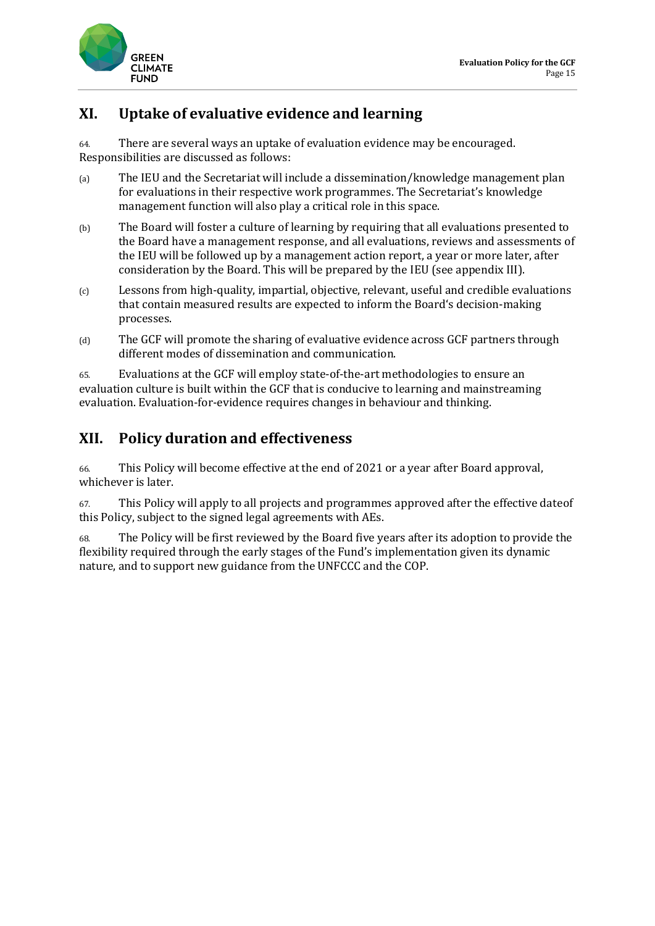

### **XI. Uptake of evaluative evidence and learning**

64. There are several ways an uptake of evaluation evidence may be encouraged. Responsibilities are discussed as follows:

- (a) The IEU and the Secretariat will include a dissemination/knowledge management plan for evaluations in their respective work programmes. The Secretariat's knowledge management function will also play a critical role in this space.
- (b) The Board will foster a culture of learning by requiring that all evaluations presented to the Board have a management response, and all evaluations, reviews and assessments of the IEU will be followed up by a management action report, a year or more later, after consideration by the Board. This will be prepared by the IEU (see appendix III).
- (c) Lessons from high-quality, impartial, objective, relevant, useful and credible evaluations that contain measured results are expected to inform the Board's decision-making processes.
- (d) The GCF will promote the sharing of evaluative evidence across GCF partners through different modes of dissemination and communication.

65. Evaluations at the GCF will employ state-of-the-art methodologies to ensure an evaluation culture is built within the GCF that is conducive to learning and mainstreaming evaluation. Evaluation-for-evidence requires changes in behaviour and thinking.

### **XII. Policy duration and effectiveness**

66. This Policy will become effective at the end of 2021 or a year after Board approval, whichever is later.

67. This Policy will apply to all projects and programmes approved after the effective dateof this Policy, subject to the signed legal agreements with AEs.

68. The Policy will be first reviewed by the Board five years after its adoption to provide the flexibility required through the early stages of the Fund's implementation given its dynamic nature, and to support new guidance from the UNFCCC and the COP.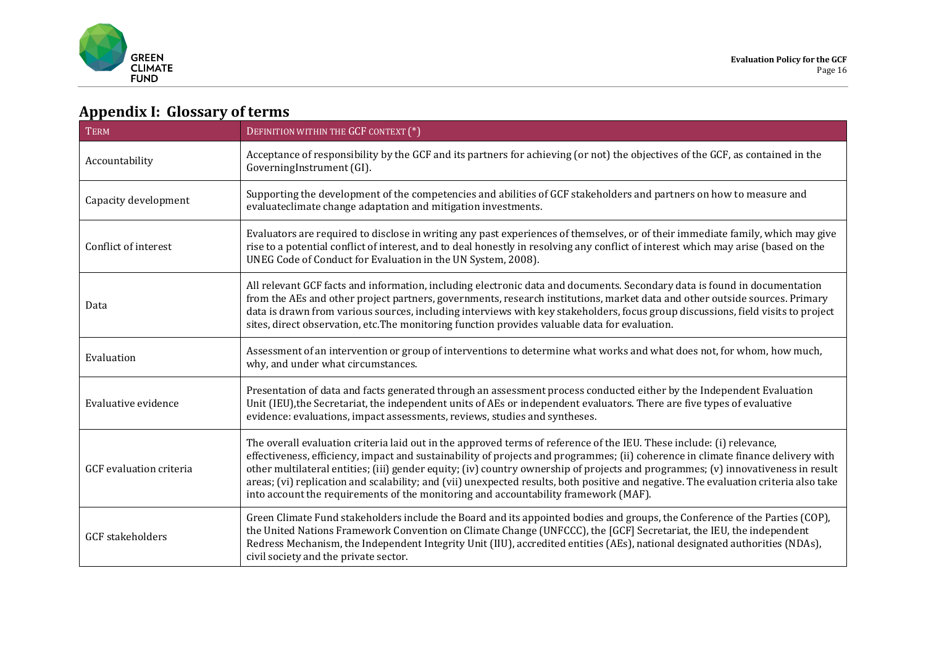

# **Appendix I: Glossary of terms**

| <b>TERM</b>             | DEFINITION WITHIN THE GCF CONTEXT (*)                                                                                                                                                                                                                                                                                                                                                                                                                                                                                                                                                                                         |  |
|-------------------------|-------------------------------------------------------------------------------------------------------------------------------------------------------------------------------------------------------------------------------------------------------------------------------------------------------------------------------------------------------------------------------------------------------------------------------------------------------------------------------------------------------------------------------------------------------------------------------------------------------------------------------|--|
| Accountability          | Acceptance of responsibility by the GCF and its partners for achieving (or not) the objectives of the GCF, as contained in the<br>GoverningInstrument (GI).                                                                                                                                                                                                                                                                                                                                                                                                                                                                   |  |
| Capacity development    | Supporting the development of the competencies and abilities of GCF stakeholders and partners on how to measure and<br>evaluateclimate change adaptation and mitigation investments.                                                                                                                                                                                                                                                                                                                                                                                                                                          |  |
| Conflict of interest    | Evaluators are required to disclose in writing any past experiences of themselves, or of their immediate family, which may give<br>rise to a potential conflict of interest, and to deal honestly in resolving any conflict of interest which may arise (based on the<br>UNEG Code of Conduct for Evaluation in the UN System, 2008).                                                                                                                                                                                                                                                                                         |  |
| Data                    | All relevant GCF facts and information, including electronic data and documents. Secondary data is found in documentation<br>from the AEs and other project partners, governments, research institutions, market data and other outside sources. Primary<br>data is drawn from various sources, including interviews with key stakeholders, focus group discussions, field visits to project<br>sites, direct observation, etc. The monitoring function provides valuable data for evaluation.                                                                                                                                |  |
| Evaluation              | Assessment of an intervention or group of interventions to determine what works and what does not, for whom, how much,<br>why, and under what circumstances.                                                                                                                                                                                                                                                                                                                                                                                                                                                                  |  |
| Evaluative evidence     | Presentation of data and facts generated through an assessment process conducted either by the Independent Evaluation<br>Unit (IEU), the Secretariat, the independent units of AEs or independent evaluators. There are five types of evaluative<br>evidence: evaluations, impact assessments, reviews, studies and syntheses.                                                                                                                                                                                                                                                                                                |  |
| GCF evaluation criteria | The overall evaluation criteria laid out in the approved terms of reference of the IEU. These include: (i) relevance,<br>effectiveness, efficiency, impact and sustainability of projects and programmes; (ii) coherence in climate finance delivery with<br>other multilateral entities; (iii) gender equity; (iv) country ownership of projects and programmes; (v) innovativeness in result<br>areas; (vi) replication and scalability; and (vii) unexpected results, both positive and negative. The evaluation criteria also take<br>into account the requirements of the monitoring and accountability framework (MAF). |  |
| <b>GCF</b> stakeholders | Green Climate Fund stakeholders include the Board and its appointed bodies and groups, the Conference of the Parties (COP),<br>the United Nations Framework Convention on Climate Change (UNFCCC), the [GCF] Secretariat, the IEU, the independent<br>Redress Mechanism, the Independent Integrity Unit (IIU), accredited entities (AEs), national designated authorities (NDAs),<br>civil society and the private sector.                                                                                                                                                                                                    |  |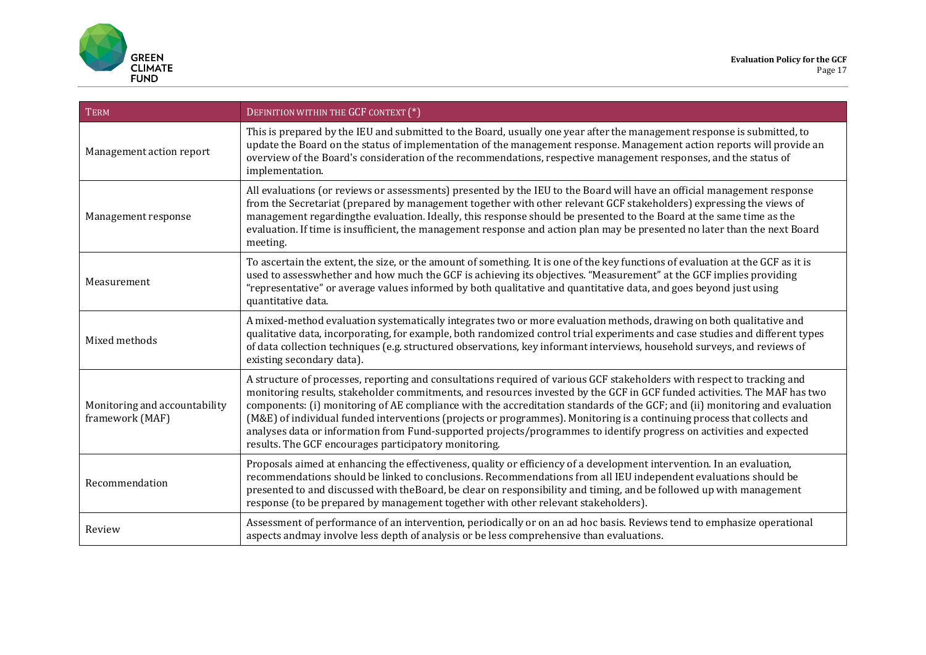

| <b>TERM</b>                                      | DEFINITION WITHIN THE GCF CONTEXT (*)                                                                                                                                                                                                                                                                                                                                                                                                                                                                                                                                                                                                                                                          |
|--------------------------------------------------|------------------------------------------------------------------------------------------------------------------------------------------------------------------------------------------------------------------------------------------------------------------------------------------------------------------------------------------------------------------------------------------------------------------------------------------------------------------------------------------------------------------------------------------------------------------------------------------------------------------------------------------------------------------------------------------------|
| Management action report                         | This is prepared by the IEU and submitted to the Board, usually one year after the management response is submitted, to<br>update the Board on the status of implementation of the management response. Management action reports will provide an<br>overview of the Board's consideration of the recommendations, respective management responses, and the status of<br>implementation.                                                                                                                                                                                                                                                                                                       |
| Management response                              | All evaluations (or reviews or assessments) presented by the IEU to the Board will have an official management response<br>from the Secretariat (prepared by management together with other relevant GCF stakeholders) expressing the views of<br>management regarding the evaluation. Ideally, this response should be presented to the Board at the same time as the<br>evaluation. If time is insufficient, the management response and action plan may be presented no later than the next Board<br>meeting.                                                                                                                                                                               |
| Measurement                                      | To ascertain the extent, the size, or the amount of something. It is one of the key functions of evaluation at the GCF as it is<br>used to assesswhether and how much the GCF is achieving its objectives. "Measurement" at the GCF implies providing<br>"representative" or average values informed by both qualitative and quantitative data, and goes beyond just using<br>quantitative data.                                                                                                                                                                                                                                                                                               |
| Mixed methods                                    | A mixed-method evaluation systematically integrates two or more evaluation methods, drawing on both qualitative and<br>qualitative data, incorporating, for example, both randomized control trial experiments and case studies and different types<br>of data collection techniques (e.g. structured observations, key informant interviews, household surveys, and reviews of<br>existing secondary data).                                                                                                                                                                                                                                                                                   |
| Monitoring and accountability<br>framework (MAF) | A structure of processes, reporting and consultations required of various GCF stakeholders with respect to tracking and<br>monitoring results, stakeholder commitments, and resources invested by the GCF in GCF funded activities. The MAF has two<br>components: (i) monitoring of AE compliance with the accreditation standards of the GCF; and (ii) monitoring and evaluation<br>(M&E) of individual funded interventions (projects or programmes). Monitoring is a continuing process that collects and<br>analyses data or information from Fund-supported projects/programmes to identify progress on activities and expected<br>results. The GCF encourages participatory monitoring. |
| Recommendation                                   | Proposals aimed at enhancing the effectiveness, quality or efficiency of a development intervention. In an evaluation,<br>recommendations should be linked to conclusions. Recommendations from all IEU independent evaluations should be<br>presented to and discussed with the Board, be clear on responsibility and timing, and be followed up with management<br>response (to be prepared by management together with other relevant stakeholders).                                                                                                                                                                                                                                        |
| Review                                           | Assessment of performance of an intervention, periodically or on an ad hoc basis. Reviews tend to emphasize operational<br>aspects and may involve less depth of analysis or be less comprehensive than evaluations.                                                                                                                                                                                                                                                                                                                                                                                                                                                                           |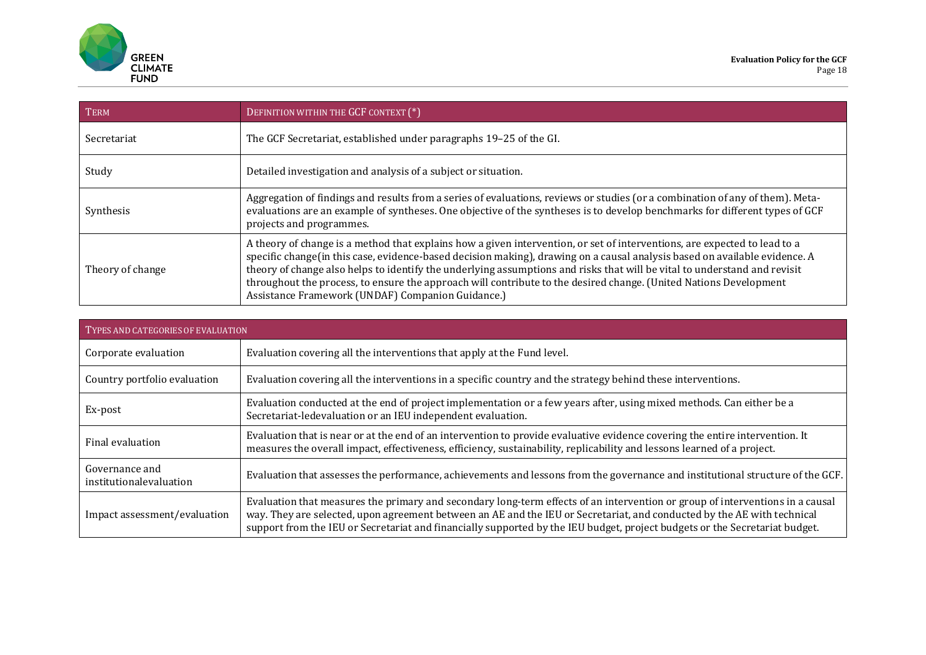

| <b>TERM</b>        | DEFINITION WITHIN THE GCF CONTEXT (*)                                                                                                                                                                                                                                                                                                                                                                                                                                                                                                                          |
|--------------------|----------------------------------------------------------------------------------------------------------------------------------------------------------------------------------------------------------------------------------------------------------------------------------------------------------------------------------------------------------------------------------------------------------------------------------------------------------------------------------------------------------------------------------------------------------------|
| <b>Secretariat</b> | The GCF Secretariat, established under paragraphs 19-25 of the GI.                                                                                                                                                                                                                                                                                                                                                                                                                                                                                             |
| Study              | Detailed investigation and analysis of a subject or situation.                                                                                                                                                                                                                                                                                                                                                                                                                                                                                                 |
| Synthesis          | Aggregation of findings and results from a series of evaluations, reviews or studies (or a combination of any of them). Meta-<br>evaluations are an example of syntheses. One objective of the syntheses is to develop benchmarks for different types of GCF<br>projects and programmes.                                                                                                                                                                                                                                                                       |
| Theory of change   | A theory of change is a method that explains how a given intervention, or set of interventions, are expected to lead to a<br>specific change(in this case, evidence-based decision making), drawing on a causal analysis based on available evidence. A<br>theory of change also helps to identify the underlying assumptions and risks that will be vital to understand and revisit<br>throughout the process, to ensure the approach will contribute to the desired change. (United Nations Development<br>Assistance Framework (UNDAF) Companion Guidance.) |

| TYPES AND CATEGORIES OF EVALUATION        |                                                                                                                                                                                                                                                                                                                                                                                         |  |  |
|-------------------------------------------|-----------------------------------------------------------------------------------------------------------------------------------------------------------------------------------------------------------------------------------------------------------------------------------------------------------------------------------------------------------------------------------------|--|--|
| Corporate evaluation                      | Evaluation covering all the interventions that apply at the Fund level.                                                                                                                                                                                                                                                                                                                 |  |  |
| Country portfolio evaluation              | Evaluation covering all the interventions in a specific country and the strategy behind these interventions.                                                                                                                                                                                                                                                                            |  |  |
| Ex-post                                   | Evaluation conducted at the end of project implementation or a few years after, using mixed methods. Can either be a<br>Secretariat-ledevaluation or an IEU independent evaluation.                                                                                                                                                                                                     |  |  |
| Final evaluation                          | Evaluation that is near or at the end of an intervention to provide evaluative evidence covering the entire intervention. It<br>measures the overall impact, effectiveness, efficiency, sustainability, replicability and lessons learned of a project.                                                                                                                                 |  |  |
| Governance and<br>institutionalevaluation | Evaluation that assesses the performance, achievements and lessons from the governance and institutional structure of the GCF.                                                                                                                                                                                                                                                          |  |  |
| Impact assessment/evaluation              | Evaluation that measures the primary and secondary long-term effects of an intervention or group of interventions in a causal<br>way. They are selected, upon agreement between an AE and the IEU or Secretariat, and conducted by the AE with technical<br>support from the IEU or Secretariat and financially supported by the IEU budget, project budgets or the Secretariat budget. |  |  |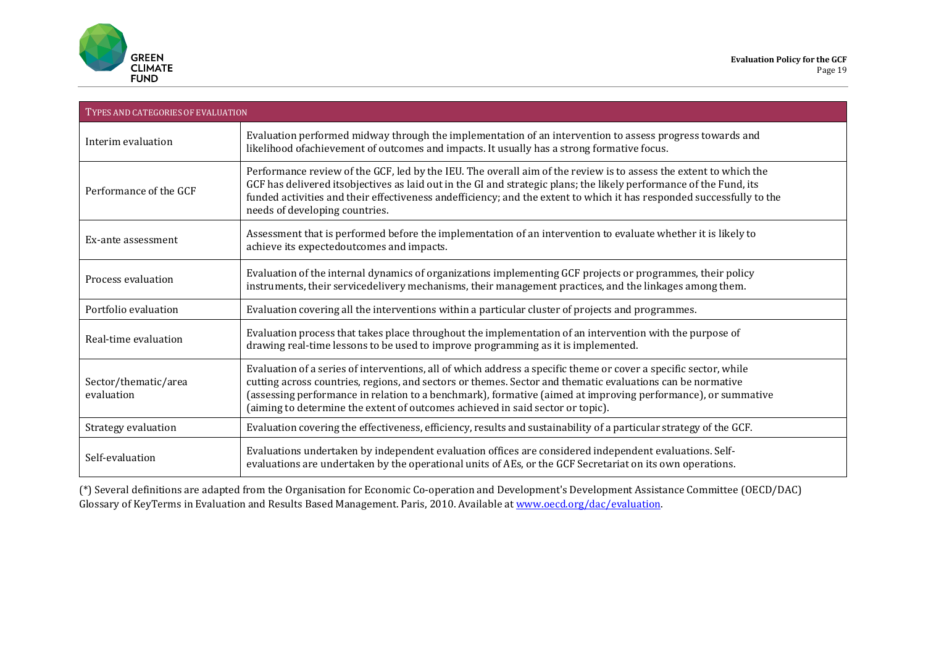

| TYPES AND CATEGORIES OF EVALUATION |                                                                                                                                                                                                                                                                                                                                                                                                                                  |  |  |
|------------------------------------|----------------------------------------------------------------------------------------------------------------------------------------------------------------------------------------------------------------------------------------------------------------------------------------------------------------------------------------------------------------------------------------------------------------------------------|--|--|
| Interim evaluation                 | Evaluation performed midway through the implementation of an intervention to assess progress towards and<br>likelihood ofachievement of outcomes and impacts. It usually has a strong formative focus.                                                                                                                                                                                                                           |  |  |
| Performance of the GCF             | Performance review of the GCF, led by the IEU. The overall aim of the review is to assess the extent to which the<br>GCF has delivered itsobjectives as laid out in the GI and strategic plans; the likely performance of the Fund, its<br>funded activities and their effectiveness andefficiency; and the extent to which it has responded successfully to the<br>needs of developing countries.                               |  |  |
| Ex-ante assessment                 | Assessment that is performed before the implementation of an intervention to evaluate whether it is likely to<br>achieve its expectedoutcomes and impacts.                                                                                                                                                                                                                                                                       |  |  |
| Process evaluation                 | Evaluation of the internal dynamics of organizations implementing GCF projects or programmes, their policy<br>instruments, their servicedelivery mechanisms, their management practices, and the linkages among them.                                                                                                                                                                                                            |  |  |
| Portfolio evaluation               | Evaluation covering all the interventions within a particular cluster of projects and programmes.                                                                                                                                                                                                                                                                                                                                |  |  |
| Real-time evaluation               | Evaluation process that takes place throughout the implementation of an intervention with the purpose of<br>drawing real-time lessons to be used to improve programming as it is implemented.                                                                                                                                                                                                                                    |  |  |
| Sector/thematic/area<br>evaluation | Evaluation of a series of interventions, all of which address a specific theme or cover a specific sector, while<br>cutting across countries, regions, and sectors or themes. Sector and thematic evaluations can be normative<br>(assessing performance in relation to a benchmark), formative (aimed at improving performance), or summative<br>(aiming to determine the extent of outcomes achieved in said sector or topic). |  |  |
| Strategy evaluation                | Evaluation covering the effectiveness, efficiency, results and sustainability of a particular strategy of the GCF.                                                                                                                                                                                                                                                                                                               |  |  |
| Self-evaluation                    | Evaluations undertaken by independent evaluation offices are considered independent evaluations. Self-<br>evaluations are undertaken by the operational units of AEs, or the GCF Secretariat on its own operations.                                                                                                                                                                                                              |  |  |

(\*) Several definitions are adapted from the Organisation for Economic Co-operation and Development's Development Assistance Committee (OECD/DAC) Glossary of KeyTerms in Evaluation and Results Based Management. Paris, 2010. Available at [www.oecd.org/dac/evaluation.](http://www.oecd.org/dac/evaluation)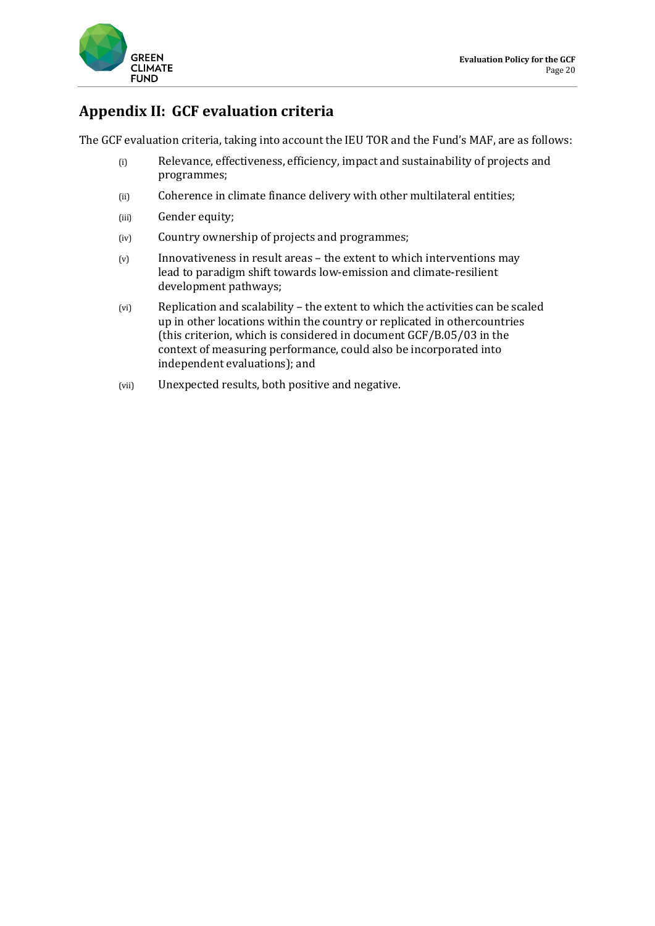

### **Appendix II: GCF evaluation criteria**

The GCF evaluation criteria, taking into account the IEU TOR and the Fund's MAF, are as follows:

- (i) Relevance, effectiveness, efficiency, impact and sustainability of projects and programmes;
- (ii) Coherence in climate finance delivery with other multilateral entities;
- (iii) Gender equity;
- (iv) Country ownership of projects and programmes;
- (v) Innovativeness in result areas the extent to which interventions may lead to paradigm shift towards low-emission and climate-resilient development pathways;
- (vi) Replication and scalability the extent to which the activities can be scaled up in other locations within the country or replicated in othercountries (this criterion, which is considered in document GCF/B.05/03 in the context of measuring performance, could also be incorporated into independent evaluations); and
- (vii) Unexpected results, both positive and negative.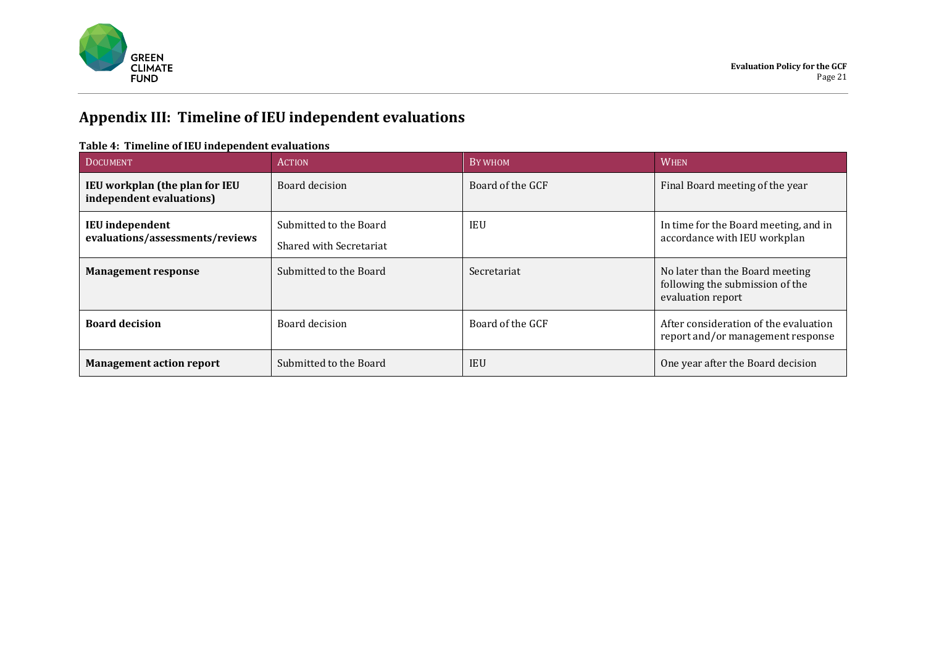

# **Appendix III: Timeline of IEU independent evaluations**

#### **Table 4: Timeline of IEU independent evaluations**

| <b>DOCUMENT</b>                                            | <b>ACTION</b>                                     | BY WHOM          | <b>WHEN</b>                                                                             |
|------------------------------------------------------------|---------------------------------------------------|------------------|-----------------------------------------------------------------------------------------|
| IEU workplan (the plan for IEU<br>independent evaluations) | Board decision                                    | Board of the GCF | Final Board meeting of the year                                                         |
| <b>IEU</b> independent<br>evaluations/assessments/reviews  | Submitted to the Board<br>Shared with Secretariat | <b>IEU</b>       | In time for the Board meeting, and in<br>accordance with IEU workplan                   |
| <b>Management response</b>                                 | Submitted to the Board                            | Secretariat      | No later than the Board meeting<br>following the submission of the<br>evaluation report |
| <b>Board decision</b>                                      | Board decision                                    | Board of the GCF | After consideration of the evaluation<br>report and/or management response              |
| <b>Management action report</b>                            | Submitted to the Board                            | <b>IEU</b>       | One year after the Board decision                                                       |